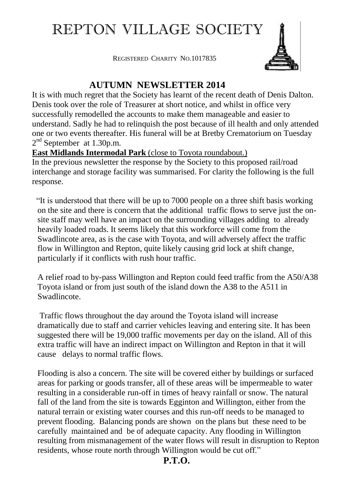# REPTON VILLAGE SOCIETY

REGISTERED CHARITY NO.1017835



# **AUTUMN NEWSLETTER 2014**

It is with much regret that the Society has learnt of the recent death of Denis Dalton. Denis took over the role of Treasurer at short notice, and whilst in office very successfully remodelled the accounts to make them manageable and easier to understand. Sadly he had to relinquish the post because of ill health and only attended one or two events thereafter. His funeral will be at Bretby Crematorium on Tuesday  $2<sup>nd</sup>$  September at 1.30p.m.

#### **East Midlands Intermodal Park** (close to Toyota roundabout.)

In the previous newsletter the response by the Society to this proposed rail/road interchange and storage facility was summarised. For clarity the following is the full response.

 "It is understood that there will be up to 7000 people on a three shift basis working on the site and there is concern that the additional traffic flows to serve just the onsite staff may well have an impact on the surrounding villages adding to already heavily loaded roads. It seems likely that this workforce will come from the Swadlincote area, as is the case with Toyota, and will adversely affect the traffic flow in Willington and Repton, quite likely causing grid lock at shift change, particularly if it conflicts with rush hour traffic.

A relief road to by-pass Willington and Repton could feed traffic from the A50/A38 Toyota island or from just south of the island down the A38 to the A511 in Swadlincote.

Traffic flows throughout the day around the Toyota island will increase dramatically due to staff and carrier vehicles leaving and entering site. It has been suggested there will be 19,000 traffic movements per day on the island. All of this extra traffic will have an indirect impact on Willington and Repton in that it will cause delays to normal traffic flows.

Flooding is also a concern. The site will be covered either by buildings or surfaced areas for parking or goods transfer, all of these areas will be impermeable to water resulting in a considerable run-off in times of heavy rainfall or snow. The natural fall of the land from the site is towards Egginton and Willington, either from the natural terrain or existing water courses and this run-off needs to be managed to prevent flooding. Balancing ponds are shown on the plans but these need to be carefully maintained and be of adequate capacity. Any flooding in Willington resulting from mismanagement of the water flows will result in disruption to Repton residents, whose route north through Willington would be cut off."